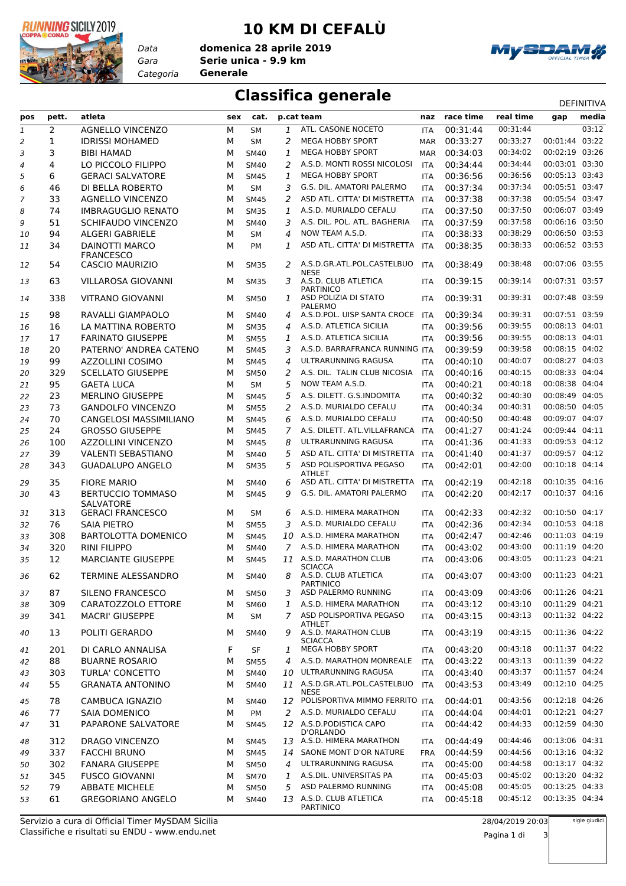

*Data*

## **10 KM DI CEFALÙ**

*Gara* **Serie unica - 9.9 km** *Categoria* **Generale domenica 28 aprile 2019**



## **Classifica generale** DEFINITIVA

| pos            | pett. | atleta                                     | sex | cat.        |              | p.cat team                                    |            | naz race time | real time | gap            | media |
|----------------|-------|--------------------------------------------|-----|-------------|--------------|-----------------------------------------------|------------|---------------|-----------|----------------|-------|
| 1              | 2     | <b>AGNELLO VINCENZO</b>                    | М   | <b>SM</b>   | 1            | ATL. CASONE NOCETO                            | <b>ITA</b> | 00:31:44      | 00:31:44  |                | 03:12 |
| 2              | 1     | <b>IDRISSI MOHAMED</b>                     | М   | <b>SM</b>   | 2            | <b>MEGA HOBBY SPORT</b>                       | <b>MAR</b> | 00:33:27      | 00:33:27  | 00:01:44       | 03:22 |
| 3              | 3     | <b>BIBI HAMAD</b>                          | M   | <b>SM40</b> | 1            | <b>MEGA HOBBY SPORT</b>                       | <b>MAR</b> | 00:34:03      | 00:34:02  | 00:02:19 03:26 |       |
| $\overline{4}$ | 4     | LO PICCOLO FILIPPO                         | м   | <b>SM40</b> | 2            | A.S.D. MONTI ROSSI NICOLOSI                   | <b>ITA</b> | 00:34:44      | 00:34:44  | 00:03:01 03:30 |       |
| 5              | 6     | <b>GERACI SALVATORE</b>                    | м   | <b>SM45</b> | $\mathbf{1}$ | <b>MEGA HOBBY SPORT</b>                       | <b>ITA</b> | 00:36:56      | 00:36:56  | 00:05:13 03:43 |       |
|                | 46    | DI BELLA ROBERTO                           | M   | <b>SM</b>   | 3            | G.S. DIL. AMATORI PALERMO                     | <b>ITA</b> | 00:37:34      | 00:37:34  | 00:05:51 03:47 |       |
| 6              |       |                                            |     |             |              | ASD ATL. CITTA' DI MISTRETTA                  |            |               | 00:37:38  | 00:05:54 03:47 |       |
| 7              | 33    | <b>AGNELLO VINCENZO</b>                    | M   | <b>SM45</b> | 2            |                                               | ITA        | 00:37:38      |           |                |       |
| 8              | 74    | <b>IMBRAGUGLIO RENATO</b>                  | M   | <b>SM35</b> | 1            | A.S.D. MURIALDO CEFALU                        | <b>ITA</b> | 00:37:50      | 00:37:50  | 00:06:07 03:49 |       |
| 9              | 51    | <b>SCHIFAUDO VINCENZO</b>                  | M   | <b>SM40</b> | 3            | A.S. DIL. POL. ATL. BAGHERIA                  | ITA        | 00:37:59      | 00:37:58  | 00:06:16 03:50 |       |
| 10             | 94    | <b>ALGERI GABRIELE</b>                     | м   | <b>SM</b>   | 4            | NOW TEAM A.S.D.                               | <b>ITA</b> | 00:38:33      | 00:38:29  | 00:06:50 03:53 |       |
| 11             | 34    | <b>DAINOTTI MARCO</b>                      | м   | <b>PM</b>   | 1            | ASD ATL. CITTA' DI MISTRETTA                  | <b>ITA</b> | 00:38:35      | 00:38:33  | 00:06:52 03:53 |       |
| 12             | 54    | <b>FRANCESCO</b><br><b>CASCIO MAURIZIO</b> | м   | <b>SM35</b> | 2            | A.S.D.GR.ATL.POL.CASTELBUO                    | <b>ITA</b> | 00:38:49      | 00:38:48  | 00:07:06 03:55 |       |
|                |       |                                            |     |             |              | <b>NESE</b>                                   |            |               |           |                |       |
| 13             | 63    | <b>VILLAROSA GIOVANNI</b>                  | м   | <b>SM35</b> | 3            | A.S.D. CLUB ATLETICA<br><b>PARTINICO</b>      | <b>ITA</b> | 00:39:15      | 00:39:14  | 00:07:31 03:57 |       |
| 14             | 338   | <b>VITRANO GIOVANNI</b>                    | м   | <b>SM50</b> | 1            | ASD POLIZIA DI STATO<br><b>PALERMO</b>        | ITA        | 00:39:31      | 00:39:31  | 00:07:48 03:59 |       |
| 15             | 98    | RAVALLI GIAMPAOLO                          | м   | <b>SM40</b> | 4            | A.S.D.POL. UISP SANTA CROCE                   | <b>ITA</b> | 00:39:34      | 00:39:31  | 00:07:51 03:59 |       |
| 16             | 16    | LA MATTINA ROBERTO                         | M   | <b>SM35</b> | 4            | A.S.D. ATLETICA SICILIA                       | ITA        | 00:39:56      | 00:39:55  | 00:08:13 04:01 |       |
| 17             | 17    | <b>FARINATO GIUSEPPE</b>                   | м   | <b>SM55</b> | 1            | A.S.D. ATLETICA SICILIA                       | <b>ITA</b> | 00:39:56      | 00:39:55  | 00:08:13 04:01 |       |
|                | 20    | PATERNO' ANDREA CATENO                     | м   | <b>SM45</b> | 3            | A.S.D. BARRAFRANCA RUNNING ITA                |            | 00:39:59      | 00:39:58  | 00:08:15 04:02 |       |
| 18             |       |                                            |     |             |              | ULTRARUNNING RAGUSA                           |            |               |           | 00:08:27 04:03 |       |
| 19             | 99    | AZZOLLINI COSIMO                           | M   | <b>SM45</b> | 4            |                                               | ITA        | 00:40:10      | 00:40:07  |                |       |
| 20             | 329   | <b>SCELLATO GIUSEPPE</b>                   | м   | <b>SM50</b> | 2            | A.S. DIL. TALIN CLUB NICOSIA                  | <b>ITA</b> | 00:40:16      | 00:40:15  | 00:08:33 04:04 |       |
| 21             | 95    | <b>GAETA LUCA</b>                          | м   | <b>SM</b>   | 5            | NOW TEAM A.S.D.                               | <b>ITA</b> | 00:40:21      | 00:40:18  | 00:08:38 04:04 |       |
| 22             | 23    | <b>MERLINO GIUSEPPE</b>                    | M   | <b>SM45</b> | 5            | A.S. DILETT. G.S.INDOMITA                     | ITA        | 00:40:32      | 00:40:30  | 00:08:49 04:05 |       |
| 23             | 73    | <b>GANDOLFO VINCENZO</b>                   | м   | <b>SM55</b> | 2            | A.S.D. MURIALDO CEFALU                        | <b>ITA</b> | 00:40:34      | 00:40:31  | 00:08:50 04:05 |       |
| 24             | 70    | CANGELOSI MASSIMILIANO                     | м   | <b>SM45</b> | 6            | A.S.D. MURIALDO CEFALU                        | <b>ITA</b> | 00:40:50      | 00:40:48  | 00:09:07 04:07 |       |
| 25             | 24    | <b>GROSSO GIUSEPPE</b>                     | м   | <b>SM45</b> | 7            | A.S. DILETT. ATL.VILLAFRANCA                  | ITA        | 00:41:27      | 00:41:24  | 00:09:44 04:11 |       |
| 26             | 100   | <b>AZZOLLINI VINCENZO</b>                  | м   | <b>SM45</b> | 8            | ULTRARUNNING RAGUSA                           | <b>ITA</b> | 00:41:36      | 00:41:33  | 00:09:53 04:12 |       |
| 27             | 39    | <b>VALENTI SEBASTIANO</b>                  | м   | <b>SM40</b> | 5            | ASD ATL. CITTA' DI MISTRETTA                  | <b>ITA</b> | 00:41:40      | 00:41:37  | 00:09:57 04:12 |       |
| 28             | 343   | <b>GUADALUPO ANGELO</b>                    | м   | <b>SM35</b> | 5            | ASD POLISPORTIVA PEGASO                       | ITA        | 00:42:01      | 00:42:00  | 00:10:18 04:14 |       |
| 29             | 35    | <b>FIORE MARIO</b>                         | м   | <b>SM40</b> | 6            | <b>ATHLET</b><br>ASD ATL. CITTA' DI MISTRETTA | <b>ITA</b> | 00:42:19      | 00:42:18  | 00:10:35 04:16 |       |
|                | 43    | <b>BERTUCCIO TOMMASO</b>                   | м   | <b>SM45</b> | 9            | G.S. DIL. AMATORI PALERMO                     | ITA        | 00:42:20      | 00:42:17  | 00:10:37 04:16 |       |
| 30             |       | <b>SALVATORE</b>                           |     |             |              |                                               |            |               |           |                |       |
| 31             | 313   | <b>GERACI FRANCESCO</b>                    | м   | SM          | 6            | A.S.D. HIMERA MARATHON                        | ITA        | 00:42:33      | 00:42:32  | 00:10:50 04:17 |       |
| 32             | 76    | <b>SAIA PIETRO</b>                         | м   | <b>SM55</b> | 3            | A.S.D. MURIALDO CEFALU                        | <b>ITA</b> | 00:42:36      | 00:42:34  | 00:10:53 04:18 |       |
| 33             | 308   | <b>BARTOLOTTA DOMENICO</b>                 | M   | <b>SM45</b> | 10           | A.S.D. HIMERA MARATHON                        | <b>ITA</b> | 00:42:47      | 00:42:46  | 00:11:03 04:19 |       |
| 34             | 320   | <b>RINI FILIPPO</b>                        | M   | <b>SM40</b> | 7            | A.S.D. HIMERA MARATHON                        | ITA        | 00:43:02      | 00:43:00  | 00:11:19 04:20 |       |
| 35             | 12    | <b>MARCIANTE GIUSEPPE</b>                  | м   | <b>SM45</b> |              | 11 A.S.D. MARATHON CLUB<br><b>SCIACCA</b>     | <b>ITA</b> | 00:43:06      | 00:43:05  | 00:11:23 04:21 |       |
| 36             | 62    | TERMINE ALESSANDRO                         | м   | <b>SM40</b> | 8            | A.S.D. CLUB ATLETICA<br><b>PARTINICO</b>      | <b>ITA</b> | 00:43:07      | 00:43:00  | 00:11:23 04:21 |       |
| 37             | 87    | SILENO FRANCESCO                           | м   | <b>SM50</b> | 3            | ASD PALERMO RUNNING                           | ITA        | 00:43:09      | 00:43:06  | 00:11:26 04:21 |       |
| 38             | 309   | CARATOZZOLO ETTORE                         | М   | <b>SM60</b> | 1            | A.S.D. HIMERA MARATHON                        | ITA        | 00:43:12      | 00:43:10  | 00:11:29 04:21 |       |
| 39             | 341   | <b>MACRI' GIUSEPPE</b>                     | м   | SM          | 7            | ASD POLISPORTIVA PEGASO                       | <b>ITA</b> | 00:43:15      | 00:43:13  | 00:11:32 04:22 |       |
|                |       |                                            |     |             |              | <b>ATHLET</b>                                 |            |               |           |                |       |
| 40             | 13    | POLITI GERARDO                             | м   | <b>SM40</b> | 9            | A.S.D. MARATHON CLUB<br><b>SCIACCA</b>        | ITA        | 00:43:19      | 00:43:15  | 00:11:36 04:22 |       |
| 41             | 201   | DI CARLO ANNALISA                          | F   | SF          | 1            | <b>MEGA HOBBY SPORT</b>                       | ITA        | 00:43:20      | 00:43:18  | 00:11:37 04:22 |       |
| 42             | 88    | <b>BUARNE ROSARIO</b>                      | М   | <b>SM55</b> | 4            | A.S.D. MARATHON MONREALE                      | <b>ITA</b> | 00:43:22      | 00:43:13  | 00:11:39 04:22 |       |
| 43             | 303   | <b>TURLA' CONCETTO</b>                     | м   | <b>SM40</b> | 10           | ULTRARUNNING RAGUSA                           | <b>ITA</b> | 00:43:40      | 00:43:37  | 00:11:57 04:24 |       |
| 44             | 55    | <b>GRANATA ANTONINO</b>                    | м   | <b>SM40</b> |              | 11 A.S.D.GR.ATL.POL.CASTELBUO<br><b>NESE</b>  | ITA        | 00:43:53      | 00:43:49  | 00:12:10 04:25 |       |
| 45             | 78    | CAMBUCA IGNAZIO                            | м   | <b>SM40</b> |              | 12 POLISPORTIVA MIMMO FERRITO ITA             |            | 00:44:01      | 00:43:56  | 00:12:18 04:26 |       |
| 46             | 77    | <b>SAIA DOMENICO</b>                       | М   | PM          | 2            | A.S.D. MURIALDO CEFALU                        | ITA        | 00:44:04      | 00:44:01  | 00:12:21 04:27 |       |
| 47             | 31    | PAPARONE SALVATORE                         | м   | <b>SM45</b> |              | 12 A.S.D. PODISTICA CAPO                      | ITA        | 00:44:42      | 00:44:33  | 00:12:59 04:30 |       |
| 48             | 312   | <b>DRAGO VINCENZO</b>                      | м   | <b>SM45</b> |              | D'ORLANDO<br>13 A.S.D. HIMERA MARATHON        | ITA        | 00:44:49      | 00:44:46  | 00:13:06 04:31 |       |
|                | 337   | <b>FACCHI BRUNO</b>                        | М   |             | 14           | SAONE MONT D'OR NATURE                        |            | 00:44:59      | 00:44:56  | 00:13:16 04:32 |       |
| 49             |       |                                            |     | <b>SM45</b> |              |                                               | <b>FRA</b> |               | 00:44:58  | 00:13:17 04:32 |       |
| 50             | 302   | <b>FANARA GIUSEPPE</b>                     | м   | <b>SM50</b> | 4            | ULTRARUNNING RAGUSA                           | <b>ITA</b> | 00:45:00      |           |                |       |
| 51             | 345   | <b>FUSCO GIOVANNI</b>                      | м   | <b>SM70</b> | 1            | A.S.DIL. UNIVERSITAS PA                       | ITA        | 00:45:03      | 00:45:02  | 00:13:20 04:32 |       |
| 52             | 79    | <b>ABBATE MICHELE</b>                      | М   | <b>SM50</b> | 5            | ASD PALERMO RUNNING                           | ITA        | 00:45:08      | 00:45:05  | 00:13:25 04:33 |       |
| 53             | 61    | <b>GREGORIANO ANGELO</b>                   | м   | <b>SM40</b> |              | 13 A.S.D. CLUB ATLETICA<br>PARTINICO          | ITA        | 00:45:18      | 00:45:12  | 00:13:35 04:34 |       |

sigle giudici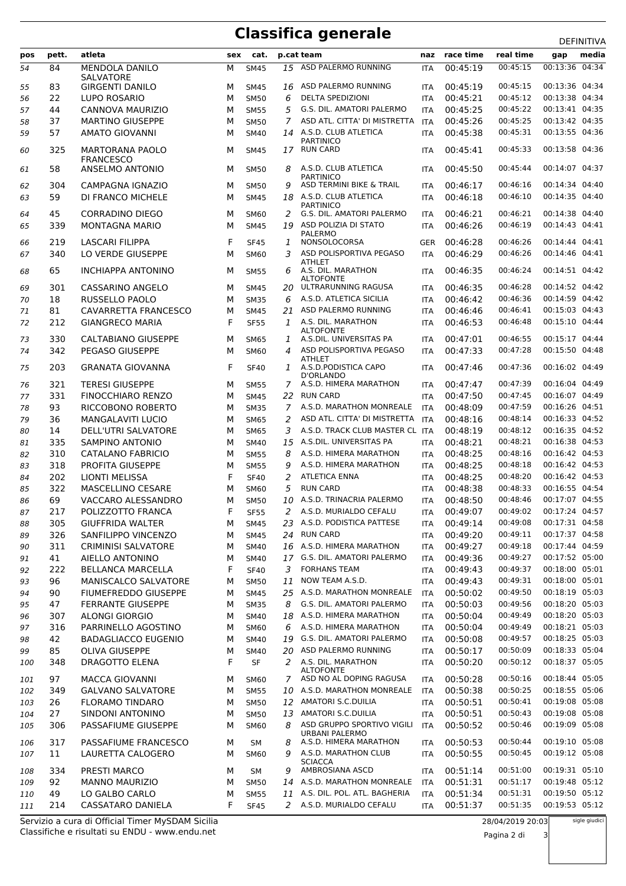## **Classifica generale** DEFINITIVA

|     |       |                             |     |             |    |                                              |            |              |           | DEFINITIVA     |
|-----|-------|-----------------------------|-----|-------------|----|----------------------------------------------|------------|--------------|-----------|----------------|
| pos | pett. | atleta                      | sex | cat.        |    | p.cat team                                   | naz        | race time    | real time | media<br>gap   |
| 54  | 84    | <b>MENDOLA DANILO</b>       | м   | <b>SM45</b> | 15 | ASD PALERMO RUNNING                          | <b>ITA</b> | 00:45:19     | 00:45:15  | 00:13:36 04:34 |
|     |       | <b>SALVATORE</b>            |     |             |    |                                              |            |              |           |                |
| 55  | 83    | <b>GIRGENTI DANILO</b>      | М   | <b>SM45</b> |    | 16 ASD PALERMO RUNNING                       | <b>ITA</b> | 00:45:19     | 00:45:15  | 00:13:36 04:34 |
| 56  | 22    | LUPO ROSARIO                | М   | <b>SM50</b> | 6  | <b>DELTA SPEDIZIONI</b>                      | <b>ITA</b> | 00:45:21     | 00:45:12  | 00:13:38 04:34 |
| 57  | 44    | CANNOVA MAURIZIO            | М   | <b>SM55</b> | 5  | G.S. DIL. AMATORI PALERMO                    | <b>ITA</b> | 00:45:25     | 00:45:22  | 00:13:41 04:35 |
| 58  | 37    | <b>MARTINO GIUSEPPE</b>     | М   | <b>SM50</b> | 7  | ASD ATL. CITTA' DI MISTRETTA                 | <b>ITA</b> | 00:45:26     | 00:45:25  | 00:13:42 04:35 |
| 59  | 57    | <b>AMATO GIOVANNI</b>       | М   | <b>SM40</b> | 14 | A.S.D. CLUB ATLETICA<br><b>PARTINICO</b>     | ITA        | 00:45:38     | 00:45:31  | 00:13:55 04:36 |
| 60  | 325   | <b>MARTORANA PAOLO</b>      | м   | <b>SM45</b> |    | 17 RUN CARD                                  | <b>ITA</b> | 00:45:41     | 00:45:33  | 00:13:58 04:36 |
|     |       | <b>FRANCESCO</b>            |     |             |    |                                              |            |              |           |                |
| 61  | 58    | <b>ANSELMO ANTONIO</b>      | М   | <b>SM50</b> | 8  | A.S.D. CLUB ATLETICA                         | <b>ITA</b> | 00:45:50     | 00:45:44  | 00:14:07 04:37 |
| 62  | 304   | CAMPAGNA IGNAZIO            | М   | <b>SM50</b> | 9  | <b>PARTINICO</b><br>ASD TERMINI BIKE & TRAIL | <b>ITA</b> | 00:46:17     | 00:46:16  | 00:14:34 04:40 |
| 63  | 59    | DI FRANCO MICHELE           | М   | <b>SM45</b> | 18 | A.S.D. CLUB ATLETICA                         | <b>ITA</b> | 00:46:18     | 00:46:10  | 00:14:35 04:40 |
|     |       |                             |     |             |    | <b>PARTINICO</b>                             |            |              |           |                |
| 64  | 45    | <b>CORRADINO DIEGO</b>      | М   | <b>SM60</b> | 2  | G.S. DIL. AMATORI PALERMO                    | <b>ITA</b> | 00:46:21     | 00:46:21  | 00:14:38 04:40 |
| 65  | 339   | <b>MONTAGNA MARIO</b>       | М   | <b>SM45</b> |    | 19 ASD POLIZIA DI STATO                      | <b>ITA</b> | 00:46:26     | 00:46:19  | 00:14:43 04:41 |
| 66  | 219   | LASCARI FILIPPA             | F   | <b>SF45</b> | 1  | <b>PALERMO</b><br>NONSOLOCORSA               | <b>GER</b> | 00:46:28     | 00:46:26  | 00:14:44 04:41 |
| 67  | 340   | LO VERDE GIUSEPPE           | М   | <b>SM60</b> | 3  | ASD POLISPORTIVA PEGASO                      | <b>ITA</b> | 00:46:29     | 00:46:26  | 00:14:46 04:41 |
|     |       |                             |     |             |    | <b>ATHLET</b>                                |            |              |           |                |
| 68  | 65    | <b>INCHIAPPA ANTONINO</b>   | М   | <b>SM55</b> | 6  | A.S. DIL. MARATHON                           | <b>ITA</b> | 00:46:35     | 00:46:24  | 00:14:51 04:42 |
| 69  | 301   | CASSARINO ANGELO            | м   | <b>SM45</b> | 20 | <b>ALTOFONTE</b><br>ULTRARUNNING RAGUSA      | <b>ITA</b> | 00:46:35     | 00:46:28  | 00:14:52 04:42 |
| 70  | 18    | RUSSELLO PAOLO              | М   | <b>SM35</b> | 6  | A.S.D. ATLETICA SICILIA                      | <b>ITA</b> | 00:46:42     | 00:46:36  | 00:14:59 04:42 |
| 71  | 81    | <b>CAVARRETTA FRANCESCO</b> | М   | <b>SM45</b> | 21 | ASD PALERMO RUNNING                          | <b>ITA</b> | 00:46:46     | 00:46:41  | 00:15:03 04:43 |
|     |       |                             |     |             |    | A.S. DIL. MARATHON                           |            |              |           | 00:15:10 04:44 |
| 72  | 212   | <b>GIANGRECO MARIA</b>      | F   | <b>SF55</b> | 1  | <b>ALTOFONTE</b>                             | <b>ITA</b> | 00:46:53     | 00:46:48  |                |
| 73  | 330   | <b>CALTABIANO GIUSEPPE</b>  | М   | <b>SM65</b> | 1  | A.S.DIL. UNIVERSITAS PA                      | <b>ITA</b> | 00:47:01     | 00:46:55  | 00:15:17 04:44 |
| 74  | 342   | PEGASO GIUSEPPE             | М   | SM60        | 4  | ASD POLISPORTIVA PEGASO                      | <b>ITA</b> | 00:47:33     | 00:47:28  | 00:15:50 04:48 |
|     |       |                             |     |             |    | <b>ATHLET</b>                                |            |              |           |                |
| 75  | 203   | <b>GRANATA GIOVANNA</b>     | F   | <b>SF40</b> | 1  | A.S.D.PODISTICA CAPO<br>D'ORLANDO            | <b>ITA</b> | 00:47:46     | 00:47:36  | 00:16:02 04:49 |
| 76  | 321   | <b>TERESI GIUSEPPE</b>      | М   | <b>SM55</b> | 7  | A.S.D. HIMERA MARATHON                       | <b>ITA</b> | 00:47:47     | 00:47:39  | 00:16:04 04:49 |
| 77  | 331   | <b>FINOCCHIARO RENZO</b>    | М   | <b>SM45</b> | 22 | <b>RUN CARD</b>                              | <b>ITA</b> | 00:47:50     | 00:47:45  | 00:16:07 04:49 |
| 78  | 93    | RICCOBONO ROBERTO           | М   | <b>SM35</b> | 7  | A.S.D. MARATHON MONREALE                     | <b>ITA</b> | 00:48:09     | 00:47:59  | 00:16:26 04:51 |
| 79  | 36    | <b>MANGALAVITI LUCIO</b>    | М   | <b>SM65</b> | 2  | ASD ATL. CITTA' DI MISTRETTA                 | <b>ITA</b> | 00:48:16     | 00:48:14  | 00:16:33 04:52 |
| 80  | 14    | DELL'UTRI SALVATORE         | М   | <b>SM65</b> | 3  | A.S.D. TRACK CLUB MASTER CL ITA              |            | 00:48:19     | 00:48:12  | 00:16:35 04:52 |
|     | 335   | <b>SAMPINO ANTONIO</b>      | М   | <b>SM40</b> | 15 | A.S.DIL. UNIVERSITAS PA                      | <b>ITA</b> | 00:48:21     | 00:48:21  | 00:16:38 04:53 |
| 81  | 310   |                             |     |             |    | A.S.D. HIMERA MARATHON                       |            | 00:48:25     | 00:48:16  | 00:16:42 04:53 |
| 82  |       | CATALANO FABRICIO           | М   | <b>SM55</b> | 8  |                                              | <b>ITA</b> |              |           | 00:16:42 04:53 |
| 83  | 318   | PROFITA GIUSEPPE            | М   | <b>SM55</b> | 9  | A.S.D. HIMERA MARATHON                       | <b>ITA</b> | 00:48:25     | 00:48:18  |                |
| 84  | 202   | LIONTI MELISSA              | F   | <b>SF40</b> | 2  | <b>ATLETICA ENNA</b>                         | <b>ITA</b> | 00:48:25     | 00:48:20  | 00:16:42 04:53 |
| 85  | 322   | MASCELLINO CESARE           | М   | SM60        | 5  | <b>RUN CARD</b>                              | <b>ITA</b> | 00:48:38     | 00:48:33  | 00:16:55 04:54 |
| 86  | 69    | <b>VACCARO ALESSANDRO</b>   | М   | <b>SM50</b> |    | 10 A.S.D. TRINACRIA PALERMO                  | <b>ITA</b> | 00:48:50     | 00:48:46  | 00:17:07 04:55 |
| 87  | 217   | POLIZZOTTO FRANCA           | F   | <b>SF55</b> |    | 2 A.S.D. MURIALDO CEFALU                     |            | ITA 00:49:07 | 00:49:02  | 00:17:24 04:57 |
| 88  | 305   | <b>GIUFFRIDA WALTER</b>     | м   | <b>SM45</b> |    | 23 A.S.D. PODISTICA PATTESE                  | <b>ITA</b> | 00:49:14     | 00:49:08  | 00:17:31 04:58 |
| 89  | 326   | SANFILIPPO VINCENZO         | М   | <b>SM45</b> |    | 24 RUN CARD                                  | <b>ITA</b> | 00:49:20     | 00:49:11  | 00:17:37 04:58 |
| 90  | 311   | <b>CRIMINISI SALVATORE</b>  | М   | SM40        |    | 16 A.S.D. HIMERA MARATHON                    | ITA        | 00:49:27     | 00:49:18  | 00:17:44 04:59 |
| 91  | 41    | AIELLO ANTONINO             | М   | <b>SM40</b> |    | 17 G.S. DIL. AMATORI PALERMO                 | <b>ITA</b> | 00:49:36     | 00:49:27  | 00:17:52 05:00 |
| 92  | 222   | <b>BELLANCA MARCELLA</b>    | F   | <b>SF40</b> | 3  | <b>FORHANS TEAM</b>                          | ITA        | 00:49:43     | 00:49:37  | 00:18:00 05:01 |
| 93  | 96    | <b>MANISCALCO SALVATORE</b> | М   | <b>SM50</b> | 11 | NOW TEAM A.S.D.                              | <b>ITA</b> | 00:49:43     | 00:49:31  | 00:18:00 05:01 |
| 94  | 90    | <b>FIUMEFREDDO GIUSEPPE</b> | М   | <b>SM45</b> |    | 25 A.S.D. MARATHON MONREALE                  | <b>ITA</b> | 00:50:02     | 00:49:50  | 00:18:19 05:03 |
| 95  | 47    | <b>FERRANTE GIUSEPPE</b>    | M   | <b>SM35</b> | 8  | G.S. DIL. AMATORI PALERMO                    | ITA        | 00:50:03     | 00:49:56  | 00:18:20 05:03 |
| 96  | 307   | <b>ALONGI GIORGIO</b>       | М   | <b>SM40</b> | 18 | A.S.D. HIMERA MARATHON                       | ITA        | 00:50:04     | 00:49:49  | 00:18:20 05:03 |
|     | 316   | PARRINELLO AGOSTINO         |     | SM60        | 6  | A.S.D. HIMERA MARATHON                       |            | 00:50:04     | 00:49:49  | 00:18:21 05:03 |
| 97  |       | <b>BADAGLIACCO EUGENIO</b>  | М   |             |    | G.S. DIL. AMATORI PALERMO                    | <b>ITA</b> | 00:50:08     |           | 00:18:25 05:03 |
| 98  | 42    |                             | м   | <b>SM40</b> | 19 |                                              | ITA        |              | 00:49:57  |                |
| 99  | 85    | <b>OLIVA GIUSEPPE</b>       | М   | <b>SM40</b> | 20 | ASD PALERMO RUNNING                          | ITA        | 00:50:17     | 00:50:09  | 00:18:33 05:04 |
| 100 | 348   | DRAGOTTO ELENA              | F   | SF          |    | 2 A.S. DIL. MARATHON<br><b>ALTOFONTE</b>     | ITA        | 00:50:20     | 00:50:12  | 00:18:37 05:05 |
| 101 | 97    | <b>MACCA GIOVANNI</b>       | м   | <b>SM60</b> | 7  | ASD NO AL DOPING RAGUSA                      | ITA        | 00:50:28     | 00:50:16  | 00:18:44 05:05 |
| 102 | 349   | <b>GALVANO SALVATORE</b>    | М   | <b>SM55</b> |    | 10 A.S.D. MARATHON MONREALE                  | ITA        | 00:50:38     | 00:50:25  | 00:18:55 05:06 |
| 103 | 26    | <b>FLORAMO TINDARO</b>      | м   | <b>SM50</b> |    | 12 AMATORI S.C.DUILIA                        | <b>ITA</b> | 00:50:51     | 00:50:41  | 00:19:08 05:08 |
| 104 | 27    | SINDONI ANTONINO            | М   | <b>SM50</b> | 13 | AMATORI S.C.DUILIA                           | <b>ITA</b> | 00:50:51     | 00:50:43  | 00:19:08 05:08 |
| 105 | 306   | PASSAFIUME GIUSEPPE         | М   | <b>SM60</b> | 8  | ASD GRUPPO SPORTIVO VIGILI                   | ITA        | 00:50:52     | 00:50:46  | 00:19:09 05:08 |
|     |       |                             |     |             |    | URBANI PALERMO                               |            |              |           |                |
| 106 | 317   | PASSAFIUME FRANCESCO        | М   | SМ          | 8  | A.S.D. HIMERA MARATHON                       | ITA        | 00:50:53     | 00:50:44  | 00:19:10 05:08 |
| 107 | 11    | LAURETTA CALOGERO           | М   | <b>SM60</b> | 9  | A.S.D. MARATHON CLUB                         | <b>ITA</b> | 00:50:55     | 00:50:45  | 00:19:12 05:08 |
|     | 334   | PRESTI MARCO                | М   | SМ          | 9  | <b>SCIACCA</b><br>AMBROSIANA ASCD            | ITA        | 00:51:14     | 00:51:00  | 00:19:31 05:10 |
| 108 | 92    | <b>MANNO MAURIZIO</b>       |     |             |    | 14 A.S.D. MARATHON MONREALE                  |            | 00:51:31     | 00:51:17  | 00:19:48 05:12 |
| 109 |       |                             | М   | <b>SM50</b> |    |                                              | <b>ITA</b> |              |           |                |
| 110 | 49    | LO GALBO CARLO              | M   | <b>SM55</b> |    | 11 A.S. DIL. POL. ATL. BAGHERIA              | <b>ITA</b> | 00:51:34     | 00:51:31  | 00:19:50 05:12 |
| 111 | 214   | CASSATARO DANIELA           | F   | <b>SF45</b> | 2  | A.S.D. MURIALDO CEFALU                       | <b>ITA</b> | 00:51:37     | 00:51:35  | 00:19:53 05:12 |

Classifiche e risultati su ENDU - www.endu.net Servizio a cura di Official Timer MySDAM Sicilia sigle giudici